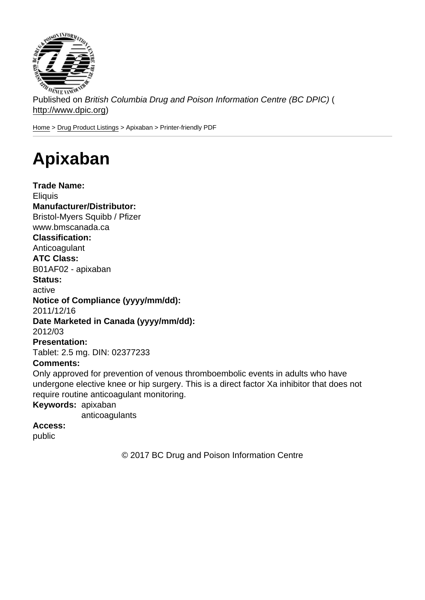Published on British Columbia Drug and Poison Information Centre (BC DPIC) ( http://www.dpic.org)

Home > Drug Product Listings > Apixaban > Printer-friendly PDF

## [Ap](http://www.dpic.org/)[ixaban](http://www.dpic.org/druglistings)

Trade Name: **Eliquis** Manufacturer/Distributor: Bristol-Myers Squibb / Pfizer www.bmscanada.ca Classification: Anticoagulant ATC Class: B01AF02 - apixaban Status: active Notice of Compliance (yyyy/mm/dd): 2011/12/16 Date Marketed in Canada (yyyy/mm/dd): 2012/03 Presentation: Tablet: 2.5 mg. DIN: 02377233 Comments: Only approved for prevention of venous thromboembolic events in adults who have undergone elective knee or hip surgery. This is a direct factor Xa inhibitor that does not require routine anticoagulant monitoring. Keywords: apixaban anticoagulants Access:

public

© 2017 BC Drug and Poison Information Centre